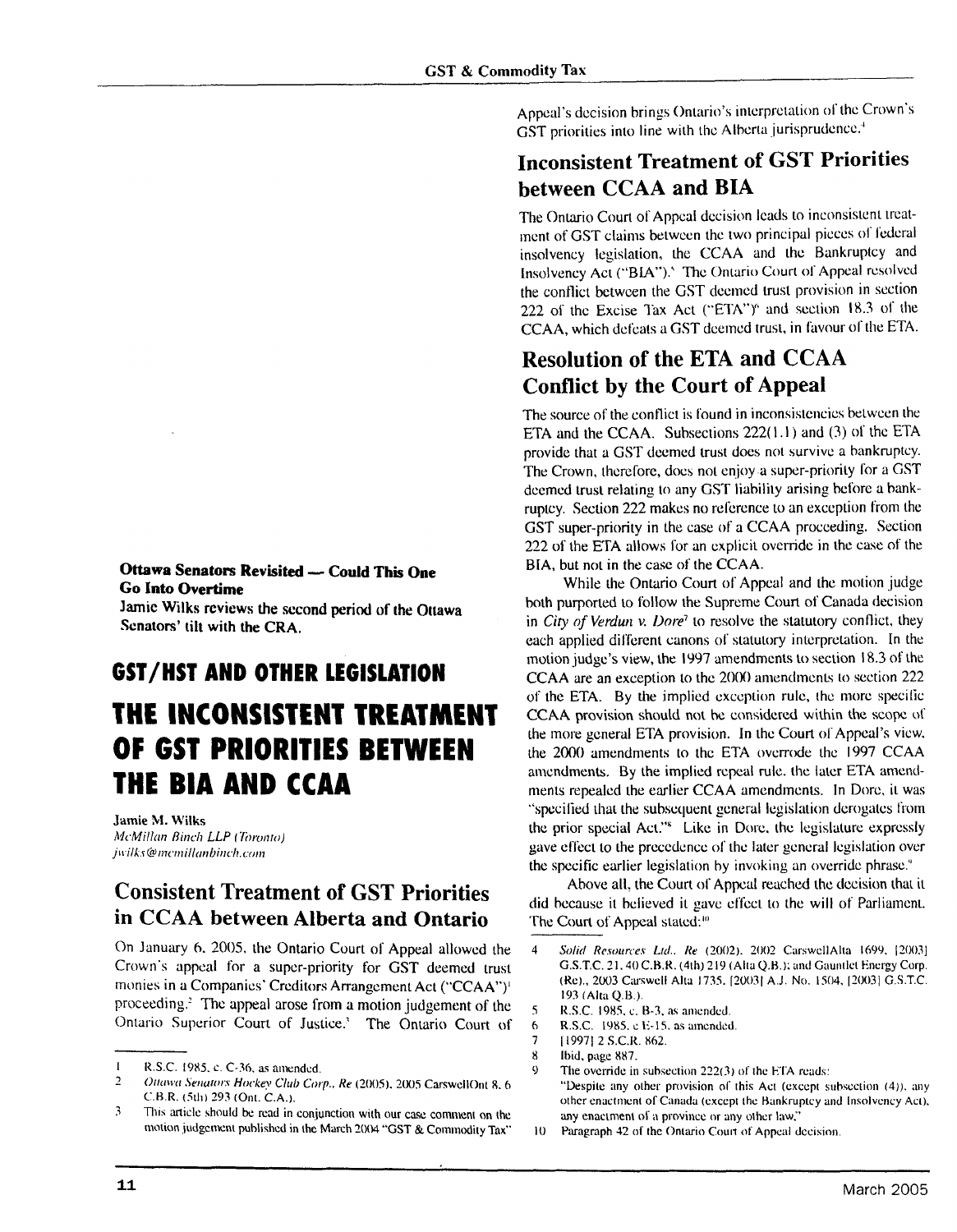#### **Ottawa Senators Revisited - Could This One Go Into Overtime**

**Jamie Wilks reviews the sccond period of the Ottawa**  Senators' **tilt with the CRA.** 

# **GST/HST AND OTHER LEGISLATION**

### **THE lNCONSISTENT TREATMENT OF GST PRIORITIES BETWEEN THE BIA AND CCAA**

**Jamie M. Wilks** McMillan Binch LLP (Toronto) jwilks@memillanbinch.com

#### **Consistent Treatment of GST Priorities in CCAA between Alberta and Ontario**

On January 6, 2005, the Ontario Court of Appeal allowed the Crown's appeal for a supcr-priority for GST deemed trust monies in a Companies' Creditors Arrangement Act ("CCAA'')' proceeding.' The appeal arose from a motion judgement **of** the Ontario Superior Court of Justice.' The Ontario Court **of** 

Appeal's decision brings Ontario's interpretation of the Crown's GST priorities into line with the Alberta jurisprudence.<sup>4</sup>

#### **Inconsistent Treatment of GST Priorities between CCAA and BIA**

The Ontario Court of Appeal decision leads to inconsistent treatmcnt of GST claims between the two principal picccs **of** Ibdcral insolvency legislation, the CCAA and the Bankruptcy and Insolvency Act ("BLA").' The Ontario Court **ol'** Appeal rcsolvcd the conflict between the GST deemed trust provision in section 222 of the Excise Tax Act ("ETA")" and section 18.3 of the CCAA, which defeats a GST deemed trust, in favour of the ETA.

#### **Resolution of the ETA and CCAA Conflict by the Court of Appeal**

The source of the conflict is found in inconsistencies between the ETA and the CCAA. Subsections 222(1.1) and (3) of the ETA provide that a GST deemed trust docs not survive a bankruptcy. The Crown, therefore, does not enjoy a super-priority for a GST deemed trust relating to any GST liability arising before a bankruptcy. Section 222 makes no reference to an exception from thc GST super-priority in the case of a CCAA procceding. Section 222 of the ETA allows for an explicit override in the case of the BIA, but not in the case of the CCAA.

While the Ontario Court of Appcal and the motion judge both purported to follow the Supreme Court of Canada decision in *City of Verdun v. Dore<sup>7</sup>* to resolve the statutory conflict, they each applied different canons of statutory interpretation. In the motion judge's view, the I997 amendments to section 18.3 of the CCAA are an exception to the 2000 amendments to section 222 of the ETA. By the implied exception rule, thc more specilic CCAA provision should not hc considered within the scopc of the more general ETA provision. In the Court of Appeal's view. the 2000 amendments to thc ETA overrode the 1997 CCAA amendments. By the implied repeal rule, the later ETA amendments repealed the earlier CCAA amendments. In Dore, it was "specified that the subsequent general legislation derogates from the prior special Act."' Like in Dorc. thc legislature expressly gave cfl'ect to the precedence **ol'** the later gcncral Icgislation over the spccific earlier legislation by invoking an override phrase."

Above all, the Courl **of** Appcal reached the dccision thal it did because it believed it gave effect to the will of Parliament. The Court of Appeal stated:<sup>10</sup>

- 5 **R.S.C. 1985. c. B-3, as amended.**<br>6 **R.S.C.** 1985. e E-15, as amended
- **R.S.C. 1985.** e E-15. as amended.
- 7 119971 2 S.C.R. **862.**
- $\frac{8}{9}$  Ibid, page 887.
	- The override in subsection  $222(3)$  of the ETA reads: "Despite any other provision of this Act (except subsection (4)), any other enactment of Canada (except the Bankruptcy and Insolvency Act), any enactment of a province or any other law,"
- 10 Paragraph 42 of the Ontario Court of Appeal decision.

<sup>1</sup> R.S.C. 1985, c. C-36, as amended.<br>2 Ottowa Senators Hockey Club Cor

<sup>1</sup> Orrtnrtr Serruro/:v **Hockq** CluO Corp.. Kr (2005). 20U.5 CmwcllOnr 8. *6*  **C.H.R.** (5th) 293 (Ont. C.A.).

**<sup>3</sup>** This article should be read in conjunction with our case comment on the motion judgement published in the March 2004 "GST & Commodity Tax"

<sup>4</sup> *Solid Resources Ltd.. Re* (2002). 2002 CarswellAlta 1699, [2003] G.S.T.C. 21, 40 C.B.R. (4th) 219 (Alta Q.B.); and Gauntlet Energy Corp. (Kc)., 2003 Ciuswcll Alta 1735. [20031 A.J. No. 1504, 120031 G.S.T.C. 193 (Alta Q.H.).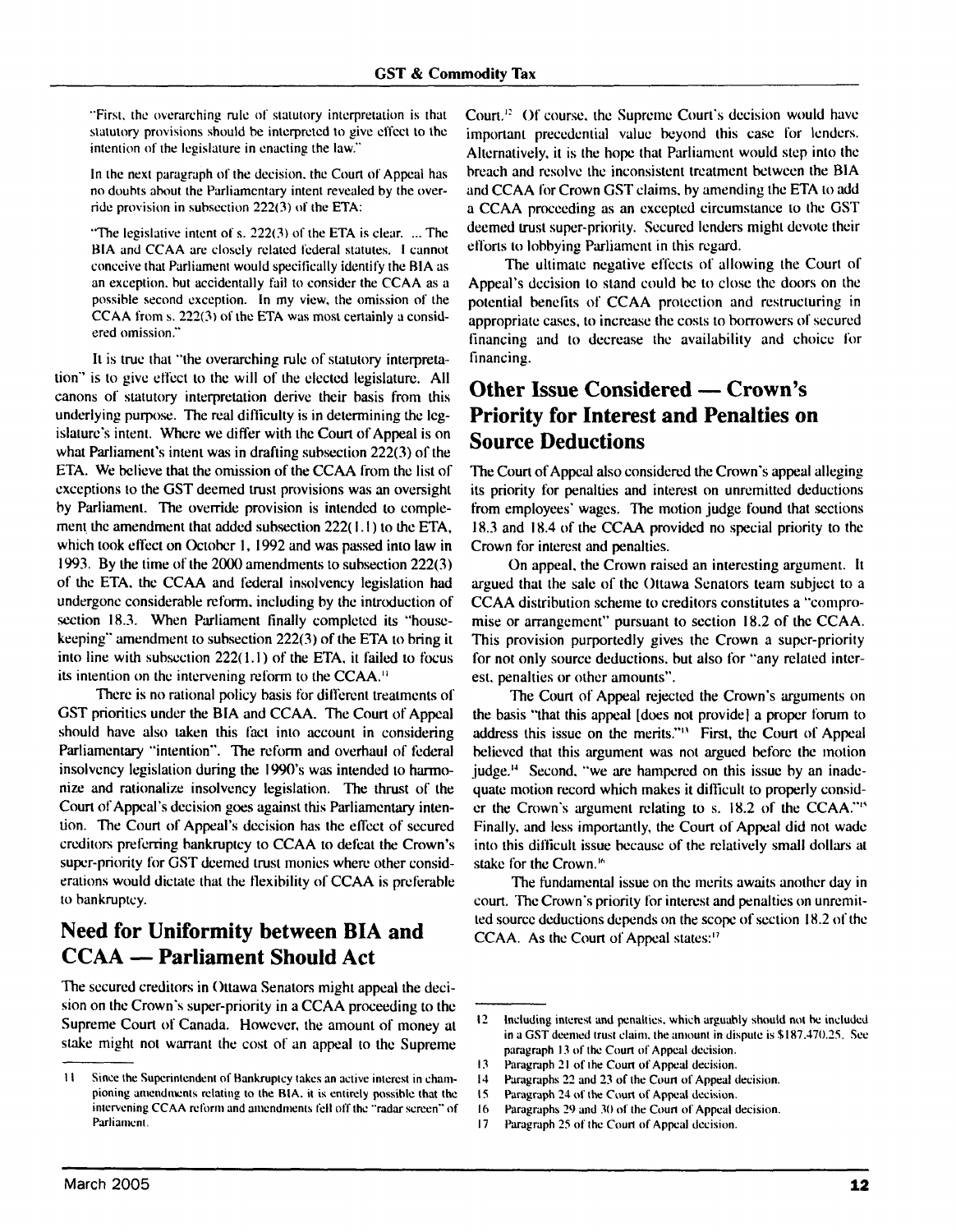"First. the overarching rule of statulory interpretation is that statutory provisions should be interpreted to give effect to the intention of the legislature in enacting the law."

In the next paragraph of the decision, the Court of Appeal has no doubts about the Parliamentary intent revealed by the override provision in subsection *222(3)* of the ETA:

"The legislative intent of s. *222(3)* of the ETA is clear. ... The BIA and CCAA are closely related federal statutes. I cannot conceive that Parliament would specifically identify the RIA as an exception. but accidentally fail to consider the CCAA as a possible second exception. In my view, the omission of the CCAA from s. *221(3)* of the ETA was most certainly a considered omission."

It is true that "the overarching rule of statutory interpretation" is to give effect to the will of the elected legislature. All canons of statutory interpretation derive their basis from this underlying purpose. The real difficulty is in determining the legislalurc's intent. Where we differ with the Court of Appeal is on what Parliament's intent was in drafting subsection 222(3) of the ETA. We believe that the omission of the CCAA from the list of exceptions to the GST deemed trust provisions was an oversight by Parliament. **The** override provision is intended to complement the amendment that added subsection  $222(1.1)$  to the ETA. which took effect on October 1, 1992 and was passed into law in 1993. By the time of the 2000 amendments to suhsection 222(3) of the ETA. the CCAA and federal insolvency legislation had undergone considerable reform. including by the introduction of section 18.3. When Parliament finally completed its "housekeeping" amendment to suhsection 222(3) of the ETA to bring it into line with subsection 222( 1.1) of the ETA, it failed to focus its intention on the intervening reform to the CCAA."

There is no rational policy basis for different treatments of GST priorities under the BIA and CCAA. The Court of Appcal should havc also laken this fact into account in considering Parliamentary "intention". The reform and overhaul of federal insolvency legislation during the 1990's was intended to harmonize and rationalize insolvency legislation. The thrust of the Court of Appcal's decision goes against this Parliamentary intention. The Court of Appeal's decision has the effect of secured creditors preferring bankruptcy to CCAA to defeat the Crown's supcr-priority for GST deemed trust monies where other considerations would dictate that the flexibility of CCAA is preferable to bankruptcy.

## **Need for Uniformity between BIA and CO Bankruptcy.<br>Need for Uniformity between BIA<br>CCAA — Parliament Should Act**

The secured creditors in Ottawa Senators might appeal the decision on the Crown's super-priority in a CCAA proceeding to the Supreme Court of Canada. However, the amount of money a1 stake might not warrant the cost of an appeal to the Supreme

Court.<sup>12</sup> Of course, the Supreme Court's decision would have important precedcntial value beyond this case for lenders. Alternatively, it is the hopc that Parliament would step into the hreach and resolve the inconsistent treatment between the BlA and CCAA Ibr Crown GST claims, by amending the ETA to add a CCAA proceeding as an excepted circumstance to the GST deemed trust super-priority. Secured lenders might devote their efforts to lobbying Parliament in this rcgard.

The ultimate negative effects of allowing the Court of Appeal's dccision to stand could he to close the doors on the potential benefits of CCAA protection and restructuring in appropriate cases, to increase the costs to borrowers of secured financing and to decrease the availability and choice for financing.

#### **Other Issue Considered — Crown's Priority for Interest and Penalties on Source Deductions**

The Court of Appcal also considered the Crown's appeal alleging its priority for penalties and interest on unremitted deductions from employees' wages. The motion judge found that scctions 18.3 and 18.4 of the CCAA provided no special priority to the Crown for interest and penalties.

On appeal. the Crown raised an interesting argument. It argued that the sale of the Ottawa Senators team subject to a CCAA distribution scheme to creditors constitutes a "compromise or arrangement" pursuant to section 18.2 of the CCAA. This provision purportedly gives the Crown a supcr-priority for not only source deductions. but also for "any related intcrest, penalties or other amounts".

The Court of Appeal rejected the Crown's arguments on the basis "that this appeal [does not provide] a propcr forum to address this issue on the merits."" First, the Court of Appeal believed that this argument was not argued before the motion judge." Second. "we are hampered on this issue by an inadcquatc motion record which makes it difficult to properly consider the Crown's argument relating to s. 18.2 of the CCAA.'"' Finally, and less importantly, the Court of Appeal did not wade into this difficult issue because of the relatively small dollars at stake for the Crown."

The fundamental issue on the merits awaits another day in court. The Crown's priority for interest and penalties on unremitted source deductions depends on the scope of section 18.2 of the CCAA. As the Court of Appcal states:"

- Paragraphs 29 and 30 of the Court of Appeal decision.
- 17 Pxagraph **25** of the Coun **of** Appeal dccision.

<sup>11</sup> Since the Superintendent of Bankruptcy takes an active interest in championing amendments relating to the BIA, it is entirely possible that the intervening CCAA reform and amendments fell off the "radar screen" of Parliament.

<sup>12</sup> Including interest and penialtics. which arguahly should not **he** included in a GST deemed trust claim, the amount in dispute is \$187,470.25. See paragraph 13 of the Court of Appeal decision.

**<sup>13</sup>** Paragraph 21 of the Court of Appeal decision.<br>**14** Paragraphs 22 and 23 of the Court of Appeal d

<sup>14</sup> Paragraphs 22 and 23 of the Court of Appeal decision.<br>15 Paragraph 24 of the Court of Appeal decision.

IS Paragraph **24** of the **Coun** of Appeal dccision.